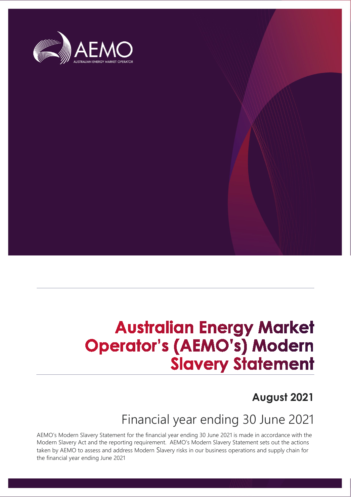

# **Australian Energy Market Operator's (AEMO's) Modern Slavery Statement**

## **August 2021**

## Financial year ending 30 June 2021

AEMO's Modern Slavery Statement for the financial year ending 30 June 2021 is made in accordance with the Modern Slavery Act and the reporting requirement. AEMO's Modern Slavery Statement sets out the actions taken by AEMO to assess and address Modern Slavery risks in our business operations and supply chain for the financial year ending June 2021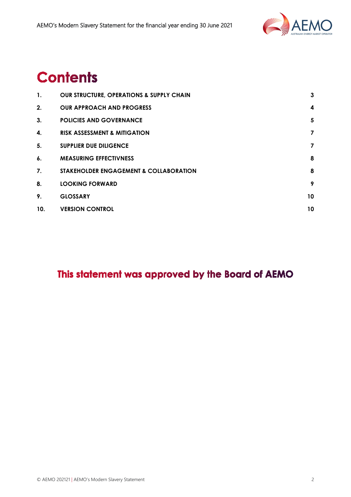

## **Contents**

| 1.  | <b>OUR STRUCTURE, OPERATIONS &amp; SUPPLY CHAIN</b> | $\mathbf{3}$            |
|-----|-----------------------------------------------------|-------------------------|
| 2.  | <b>OUR APPROACH AND PROGRESS</b>                    | $\overline{\mathbf{4}}$ |
| 3.  | <b>POLICIES AND GOVERNANCE</b>                      | 5                       |
| 4.  | <b>RISK ASSESSMENT &amp; MITIGATION</b>             | $\overline{\mathbf{z}}$ |
| 5.  | <b>SUPPLIER DUE DILIGENCE</b>                       | 7                       |
| 6.  | <b>MEASURING EFFECTIVNESS</b>                       | 8                       |
| 7.  | <b>STAKEHOLDER ENGAGEMENT &amp; COLLABORATION</b>   | 8                       |
| 8.  | <b>LOOKING FORWARD</b>                              | 9                       |
| 9.  | <b>GLOSSARY</b>                                     | 10                      |
| 10. | <b>VERSION CONTROL</b>                              | 10                      |

## This statement was approved by the Board of AEMO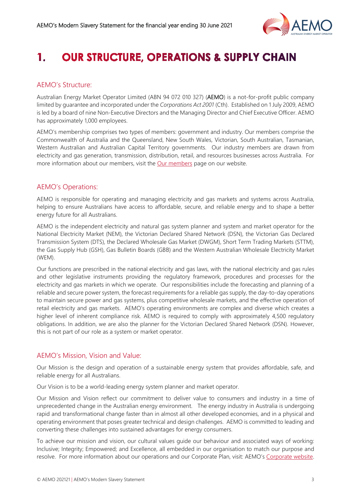

#### <span id="page-2-0"></span>**OUR STRUCTURE, OPERATIONS & SUPPLY CHAIN** 1.

## AEMO's Structure:

Australian Energy Market Operator Limited (ABN 94 072 010 327) (AEMO) is a not-for-profit public company limited by guarantee and incorporated under the *Corporations Act 2001* (Cth). Established on 1 July 2009, AEMO is led by a board of nine Non-Executive Directors and the Managing Director and Chief Executive Officer. AEMO has approximately 1,000 employees.

AEMO's membership comprises two types of members: government and industry. Our members comprise the Commonwealth of Australia and the Queensland, New South Wales, Victorian, South Australian, Tasmanian, Western Australian and Australian Capital Territory governments. Our industry members are drawn from electricity and gas generation, transmission, distribution, retail, and resources businesses across Australia. For more information about our members, visit the **Our members** page on our website.

## AEMO's Operations:

AEMO is responsible for operating and managing electricity and gas markets and systems across Australia, helping to ensure Australians have access to affordable, secure, and reliable energy and to shape a better energy future for all Australians.

AEMO is the independent electricity and natural gas system planner and system and market operator for the National Electricity Market (NEM), the Victorian Declared Shared Network (DSN), the Victorian Gas Declared Transmission System (DTS), the Declared Wholesale Gas Market (DWGM), Short Term Trading Markets (STTM), the Gas Supply Hub (GSH), Gas Bulletin Boards (GBB) and the Western Australian Wholesale Electricity Market (WEM).

Our functions are prescribed in the national electricity and gas laws, with the national electricity and gas rules and other legislative instruments providing the regulatory framework, procedures and processes for the electricity and gas markets in which we operate. Our responsibilities include the forecasting and planning of a reliable and secure power system, the forecast requirements for a reliable gas supply, the day-to-day operations to maintain secure power and gas systems, plus competitive wholesale markets, and the effective operation of retail electricity and gas markets. AEMO's operating environments are complex and diverse which creates a higher level of inherent compliance risk. AEMO is required to comply with approximately 4,500 regulatory obligations. In addition, we are also the planner for the Victorian Declared Shared Network (DSN). However, this is not part of our role as a system or market operator.

## AEMO's Mission, Vision and Value:

Our Mission is the design and operation of a sustainable energy system that provides affordable, safe, and reliable energy for all Australians.

Our Vision is to be a world-leading energy system planner and market operator.

Our Mission and Vision reflect our commitment to deliver value to consumers and industry in a time of unprecedented change in the Australian energy environment. The energy industry in Australia is undergoing rapid and transformational change faster than in almost all other developed economies, and in a physical and operating environment that poses greater technical and design challenges. AEMO is committed to leading and converting these challenges into sustained advantages for energy consumers.

To achieve our mission and vision, our cultural values guide our behaviour and associated ways of working: Inclusive; Integrity; Empowered; and Excellence, all embedded in our organisation to match our purpose and resolve. For more information about our operations and our Corporate Plan, visit: AEMO's [Corporate website.](https://aemo.com.au/about)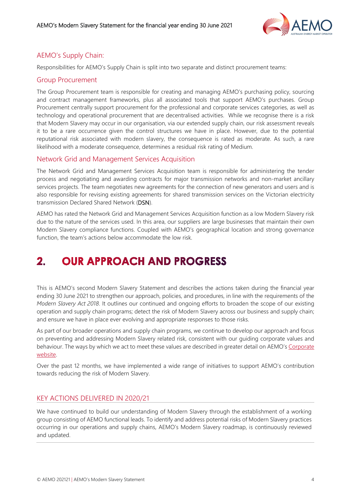

## AEMO's Supply Chain:

Responsibilities for AEMO's Supply Chain is split into two separate and distinct procurement teams:

### Group Procurement

The Group Procurement team is responsible for creating and managing AEMO's purchasing policy, sourcing and contract management frameworks, plus all associated tools that support AEMO's purchases. Group Procurement centrally support procurement for the professional and corporate services categories, as well as technology and operational procurement that are decentralised activities. While we recognise there is a risk that Modern Slavery may occur in our organisation, via our extended supply chain, our risk assessment reveals it to be a rare occurrence given the control structures we have in place. However, due to the potential reputational risk associated with modern slavery, the consequence is rated as moderate. As such, a rare likelihood with a moderate consequence, determines a residual risk rating of Medium.

## Network Grid and Management Services Acquisition

The Network Grid and Management Services Acquisition team is responsible for administering the tender process and negotiating and awarding contracts for major transmission networks and non-market ancillary services projects. The team negotiates new agreements for the connection of new generators and users and is also responsible for revising existing agreements for shared transmission services on the Victorian electricity transmission Declared Shared Network (DSN).

AEMO has rated the Network Grid and Management Services Acquisition function as a low Modern Slavery risk due to the nature of the services used. In this area, our suppliers are large businesses that maintain their own Modern Slavery compliance functions. Coupled with AEMO's geographical location and strong governance function, the team's actions below accommodate the low risk.

#### <span id="page-3-0"></span>**OUR APPROACH AND PROGRESS**  $2.$

This is AEMO's second Modern Slavery Statement and describes the actions taken during the financial year ending 30 June 2021 to strengthen our approach, policies, and procedures, in line with the requirements of the *Modern Slavery Act 2018*. It outlines our continued and ongoing efforts to broaden the scope of our existing operation and supply chain programs; detect the risk of Modern Slavery across our business and supply chain; and ensure we have in place ever evolving and appropriate responses to those risks.

As part of our broader operations and supply chain programs, we continue to develop our approach and focus on preventing and addressing Modern Slavery related risk, consistent with our guiding corporate values and behaviour. The ways by which we act to meet these values are described in greater detail on AEMO's Corporate [website.](https://aemo.com.au/about)

Over the past 12 months, we have implemented a wide range of initiatives to support AEMO's contribution towards reducing the risk of Modern Slavery.

## KEY ACTIONS DELIVERED IN 2020/21

We have continued to build our understanding of Modern Slavery through the establishment of a working group consisting of AEMO functional leads. To identify and address potential risks of Modern Slavery practices occurring in our operations and supply chains, AEMO's Modern Slavery roadmap, is continuously reviewed and updated.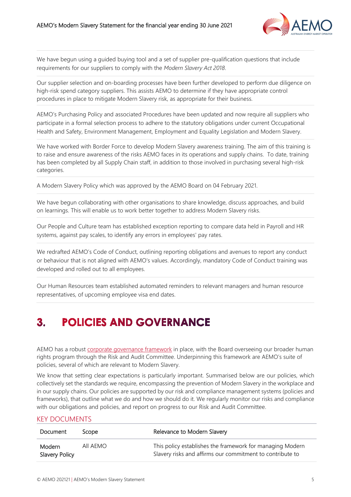

We have begun using a guided buying tool and a set of supplier pre-qualification questions that include requirements for our suppliers to comply with the *Modern Slavery Act 2018*.

Our supplier selection and on-boarding processes have been further developed to perform due diligence on high-risk spend category suppliers. This assists AEMO to determine if they have appropriate control procedures in place to mitigate Modern Slavery risk, as appropriate for their business.

AEMO's Purchasing Policy and associated Procedures have been updated and now require all suppliers who participate in a formal selection process to adhere to the statutory obligations under current Occupational Health and Safety, Environment Management, Employment and Equality Legislation and Modern Slavery.

We have worked with Border Force to develop Modern Slavery awareness training. The aim of this training is to raise and ensure awareness of the risks AEMO faces in its operations and supply chains. To date, training has been completed by all Supply Chain staff, in addition to those involved in purchasing several high-risk categories.

A Modern Slavery Policy which was approved by the AEMO Board on 04 February 2021.

We have begun collaborating with other organisations to share knowledge, discuss approaches, and build on learnings. This will enable us to work better together to address Modern Slavery risks.

Our People and Culture team has established exception reporting to compare data held in Payroll and HR systems, against pay scales, to identify any errors in employees' pay rates.

We redrafted AEMO's Code of Conduct, outlining reporting obligations and avenues to report any conduct or behaviour that is not aligned with AEMO's values. Accordingly, mandatory Code of Conduct training was developed and rolled out to all employees.

Our Human Resources team established automated reminders to relevant managers and human resource representatives, of upcoming employee visa end dates.

#### <span id="page-4-0"></span> $3<sub>1</sub>$ **POLICIES AND GOVERNANCE**

AEMO has a robust [corporate governance framework](https://aemo.com.au/about/corporate-governance) in place, with the Board overseeing our broader human rights program through the Risk and Audit Committee. Underpinning this framework are AEMO's suite of policies, several of which are relevant to Modern Slavery.

We know that setting clear expectations is particularly important. Summarised below are our policies, which collectively set the standards we require, encompassing the prevention of Modern Slavery in the workplace and in our supply chains. Our policies are supported by our risk and compliance management systems (policies and frameworks), that outline what we do and how we should do it. We regularly monitor our risks and compliance with our obligations and policies, and report on progress to our Risk and Audit Committee.

#### KEY DOCUMENTS

| Document                        | Scope    | Relevance to Modern Slavery                                                                                            |
|---------------------------------|----------|------------------------------------------------------------------------------------------------------------------------|
| Modern<br><b>Slavery Policy</b> | AII AFMO | This policy establishes the framework for managing Modern<br>Slavery risks and affirms our commitment to contribute to |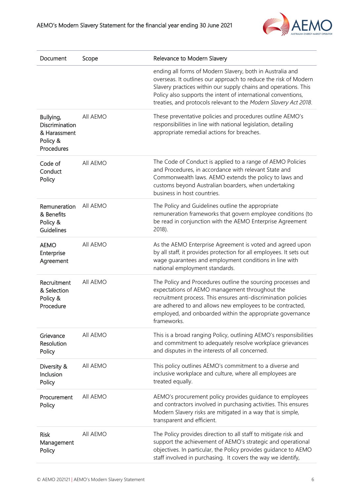

| Document                                                                          | Scope    | Relevance to Modern Slavery                                                                                                                                                                                                                                                                                                          |  |
|-----------------------------------------------------------------------------------|----------|--------------------------------------------------------------------------------------------------------------------------------------------------------------------------------------------------------------------------------------------------------------------------------------------------------------------------------------|--|
|                                                                                   |          | ending all forms of Modern Slavery, both in Australia and<br>overseas. It outlines our approach to reduce the risk of Modern<br>Slavery practices within our supply chains and operations. This<br>Policy also supports the intent of international conventions,<br>treaties, and protocols relevant to the Modern Slavery Act 2018. |  |
| All AEMO<br>Bullying,<br>Discrimination<br>& Harassment<br>Policy &<br>Procedures |          | These preventative policies and procedures outline AEMO's<br>responsibilities in line with national legislation, detailing<br>appropriate remedial actions for breaches.                                                                                                                                                             |  |
| Code of<br>Conduct<br>Policy                                                      | All AEMO | The Code of Conduct is applied to a range of AEMO Policies<br>and Procedures, in accordance with relevant State and<br>Commonwealth laws. AEMO extends the policy to laws and<br>customs beyond Australian boarders, when undertaking<br>business in host countries.                                                                 |  |
| All AEMO<br>Remuneration<br>& Benefits<br>Policy &<br>2018).<br>Guidelines        |          | The Policy and Guidelines outline the appropriate<br>remuneration frameworks that govern employee conditions (to<br>be read in conjunction with the AEMO Enterprise Agreement                                                                                                                                                        |  |
| <b>AEMO</b><br>Enterprise<br>Agreement                                            | All AEMO | As the AEMO Enterprise Agreement is voted and agreed upon<br>by all staff, it provides protection for all employees. It sets out<br>wage guarantees and employment conditions in line with<br>national employment standards.                                                                                                         |  |
| Recruitment<br>& Selection<br>Policy &<br>Procedure                               | All AEMO | The Policy and Procedures outline the sourcing processes and<br>expectations of AEMO management throughout the<br>recruitment process. This ensures anti-discrimination policies<br>are adhered to and allows new employees to be contracted,<br>employed, and onboarded within the appropriate governance<br>frameworks.            |  |
| Grievance<br>Resolution<br>Policy                                                 | All AEMO | This is a broad ranging Policy, outlining AEMO's responsibilities<br>and commitment to adequately resolve workplace grievances<br>and disputes in the interests of all concerned.                                                                                                                                                    |  |
| Diversity &<br>Inclusion<br>Policy                                                | All AEMO | This policy outlines AEMO's commitment to a diverse and<br>inclusive workplace and culture, where all employees are<br>treated equally.                                                                                                                                                                                              |  |
| Procurement<br>Policy                                                             | All AEMO | AEMO's procurement policy provides guidance to employees<br>and contractors involved in purchasing activities. This ensures<br>Modern Slavery risks are mitigated in a way that is simple,<br>transparent and efficient.                                                                                                             |  |
| <b>Risk</b><br>Management<br>Policy                                               | All AEMO | The Policy provides direction to all staff to mitigate risk and<br>support the achievement of AEMO's strategic and operational<br>objectives. In particular, the Policy provides guidance to AEMO<br>staff involved in purchasing. It covers the way we identify,                                                                    |  |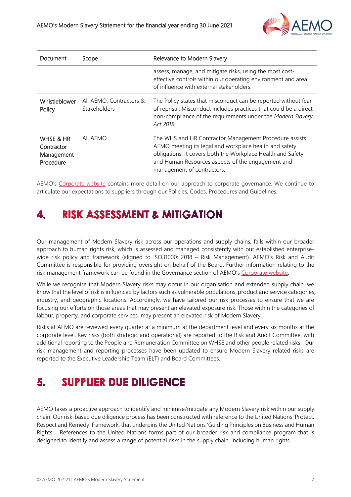

| Document                                           | Scope                                   | Relevance to Modern Slavery                                                                                                                                                                                                                                        |
|----------------------------------------------------|-----------------------------------------|--------------------------------------------------------------------------------------------------------------------------------------------------------------------------------------------------------------------------------------------------------------------|
|                                                    |                                         | assess, manage, and mitigate risks, using the most cost-<br>effective controls within our operating environment and area<br>of influence with external stakeholders                                                                                                |
| Whistleblower<br>Policy                            | All AEMO, Contractors &<br>Stakeholders | The Policy states that misconduct can be reported without fear<br>of reprisal. Misconduct includes practices that could be a direct<br>non-compliance of the requirements under the Modern Slavery<br>Act 2018.                                                    |
| WHSE & HR<br>Contractor<br>Management<br>Procedure | All AEMO                                | The WHS and HR Contractor Management Procedure assists<br>AEMO meeting its legal and workplace health and safety<br>obligations. It covers both the Workplace Health and Safety<br>and Human Resources aspects of the engagement and<br>management of contractors. |

AEMO's [Corporate website](https://aemo.com.au/about/corporate-governance) contains more detail on our approach to corporate governance. We continue to articulate our expectations to suppliers through our Policies, Codes, Procedures and Guidelines.

#### <span id="page-6-0"></span>**RISK ASSESSMENT & MITIGATION** 4.

Our management of Modern Slavery risk across our operations and supply chains, falls within our broader approach to human rights risk, which is assessed and managed consistently with our established enterprisewide risk policy and framework (aligned to ISO31000: 2018 – Risk Management). AEMO's Risk and Audit Committee is responsible for providing oversight on behalf of the Board. Further information relating to the risk management framework can be found in the Governance section of AEMO's [Corporate website.](https://aemo.com.au/about/corporate-governance/governance-processes-and-policies)

While we recognise that Modern Slavery risks may occur in our organisation and extended supply chain, we know that the level of risk is influenced by factors such as vulnerable populations, product and service categories, industry, and geographic locations. Accordingly, we have tailored our risk processes to ensure that we are focusing our efforts on those areas that may present an elevated exposure risk. Those within the categories of labour, property, and corporate services, may present an elevated risk of Modern Slavery.

Risks at AEMO are reviewed every quarter at a minimum at the department level and every six months at the corporate level. Key risks (both strategic and operational) are reported to the Risk and Audit Committee, with additional reporting to the People and Remuneration Committee on WHSE and other people related risks. Our risk management and reporting processes have been updated to ensure Modern Slavery related risks are reported to the Executive Leadership Team (ELT) and Board Committees.

#### <span id="page-6-1"></span>**SUPPLIER DUE DILIGENCE** 5.

AEMO takes a proactive approach to identify and minimise/mitigate any Modern Slavery risk within our supply chain. Our risk-based due diligence process has been constructed with reference to the United Nations 'Protect, Respect and Remedy' framework, that underpins the United Nations 'Guiding Principles on Business and Human Rights'. References to the United Nations forms part of our broader risk and compliance program that is designed to identify and assess a range of potential risks in the supply chain, including human rights.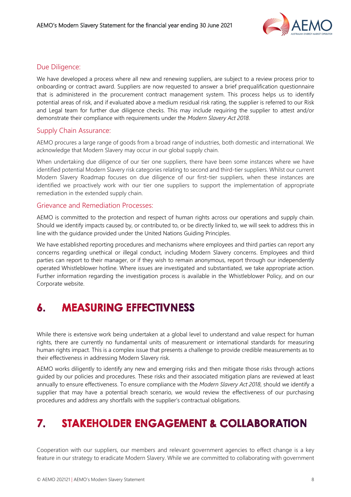

### Due Diligence:

We have developed a process where all new and renewing suppliers, are subject to a review process prior to onboarding or contract award. Suppliers are now requested to answer a brief prequalification questionnaire that is administered in the procurement contract management system. This process helps us to identify potential areas of risk, and if evaluated above a medium residual risk rating, the supplier is referred to our Risk and Legal team for further due diligence checks. This may include requiring the supplier to attest and/or demonstrate their compliance with requirements under the *Modern Slavery Act 2018*.

### Supply Chain Assurance:

AEMO procures a large range of goods from a broad range of industries, both domestic and international. We acknowledge that Modern Slavery may occur in our global supply chain.

When undertaking due diligence of our tier one suppliers, there have been some instances where we have identified potential Modern Slavery risk categories relating to second and third-tier suppliers. Whilst our current Modern Slavery Roadmap focuses on due diligence of our first-tier suppliers, when these instances are identified we proactively work with our tier one suppliers to support the implementation of appropriate remediation in the extended supply chain.

### Grievance and Remediation Processes:

AEMO is committed to the protection and respect of human rights across our operations and supply chain. Should we identify impacts caused by, or contributed to, or be directly linked to, we will seek to address this in line with the guidance provided under the United Nations Guiding Principles.

We have established reporting procedures and mechanisms where employees and third parties can report any concerns regarding unethical or illegal conduct, including Modern Slavery concerns. Employees and third parties can report to their manager, or if they wish to remain anonymous, report through our independently operated Whistleblower hotline. Where issues are investigated and substantiated, we take appropriate action. Further information regarding the investigation process is available in the Whistleblower Policy, and on our Corporate website.

#### <span id="page-7-0"></span>**MEASURING EFFECTIVNESS** 6.

While there is extensive work being undertaken at a global level to understand and value respect for human rights, there are currently no fundamental units of measurement or international standards for measuring human rights impact. This is a complex issue that presents a challenge to provide credible measurements as to their effectiveness in addressing Modern Slavery risk.

AEMO works diligently to identify any new and emerging risks and then mitigate those risks through actions guided by our policies and procedures. These risks and their associated mitigation plans are reviewed at least annually to ensure effectiveness. To ensure compliance with the *Modern Slavery Act 2018*, should we identify a supplier that may have a potential breach scenario, we would review the effectiveness of our purchasing procedures and address any shortfalls with the supplier's contractual obligations.

#### <span id="page-7-1"></span>**STAKEHOLDER ENGAGEMENT & COLLABORATION**  $\mathbf{7}$

Cooperation with our suppliers, our members and relevant government agencies to effect change is a key feature in our strategy to eradicate Modern Slavery. While we are committed to collaborating with government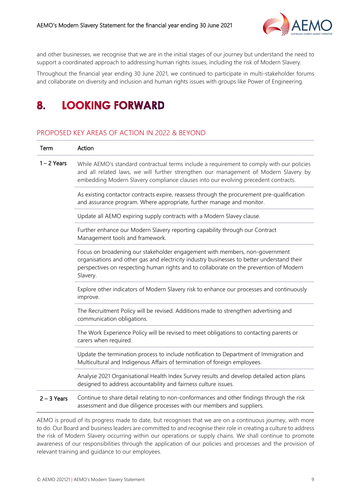

and other businesses, we recognise that we are in the initial stages of our journey but understand the need to support a coordinated approach to addressing human rights issues, including the risk of Modern Slavery.

Throughout the financial year ending 30 June 2021, we continued to participate in multi-stakeholder forums and collaborate on diversity and inclusion and human rights issues with groups like Power of Engineering.

#### <span id="page-8-0"></span>**LOOKING FORWARD** 8.

### PROPOSED KEY AREAS OF ACTION IN 2022 & BEYOND

| Term          | Action                                                                                                                                                                                                                                                                          |
|---------------|---------------------------------------------------------------------------------------------------------------------------------------------------------------------------------------------------------------------------------------------------------------------------------|
| $1 - 2$ Years | While AEMO's standard contractual terms include a requirement to comply with our policies<br>and all related laws, we will further strengthen our management of Modern Slavery by<br>embedding Modern Slavery compliance clauses into our evolving precedent contracts.         |
|               | As existing contactor contracts expire, reassess through the procurement pre-qualification<br>and assurance program. Where appropriate, further manage and monitor.                                                                                                             |
|               | Update all AEMO expiring supply contracts with a Modern Slavey clause.                                                                                                                                                                                                          |
|               | Further enhance our Modern Slavery reporting capability through our Contract<br>Management tools and framework.                                                                                                                                                                 |
|               | Focus on broadening our stakeholder engagement with members, non-government<br>organisations and other gas and electricity industry businesses to better understand their<br>perspectives on respecting human rights and to collaborate on the prevention of Modern<br>Slavery. |
|               | Explore other indicators of Modern Slavery risk to enhance our processes and continuously<br>improve.                                                                                                                                                                           |
|               | The Recruitment Policy will be revised. Additions made to strengthen advertising and<br>communication obligations.                                                                                                                                                              |
|               | The Work Experience Policy will be revised to meet obligations to contacting parents or<br>carers when required.                                                                                                                                                                |
|               | Update the termination process to include notification to Department of Immigration and<br>Multicultural and Indigenous Affairs of termination of foreign employees.                                                                                                            |
|               | Analyse 2021 Organisational Health Index Survey results and develop detailed action plans<br>designed to address accountability and fairness culture issues.                                                                                                                    |
| $2 - 3$ Years | Continue to share detail relating to non-conformances and other findings through the risk<br>assessment and due diligence processes with our members and suppliers.                                                                                                             |

AEMO is proud of its progress made to date, but recognises that we are on a continuous journey, with more to do. Our Board and business leaders are committed to and recognise their role in creating a culture to address the risk of Modern Slavery occurring within our operations or supply chains. We shall continue to promote awareness of our responsibilities through the application of our policies and processes and the provision of relevant training and guidance to our employees.